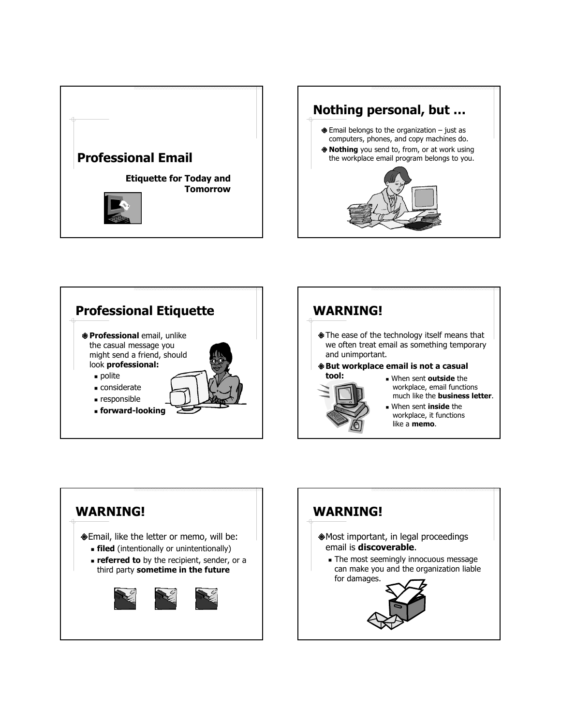







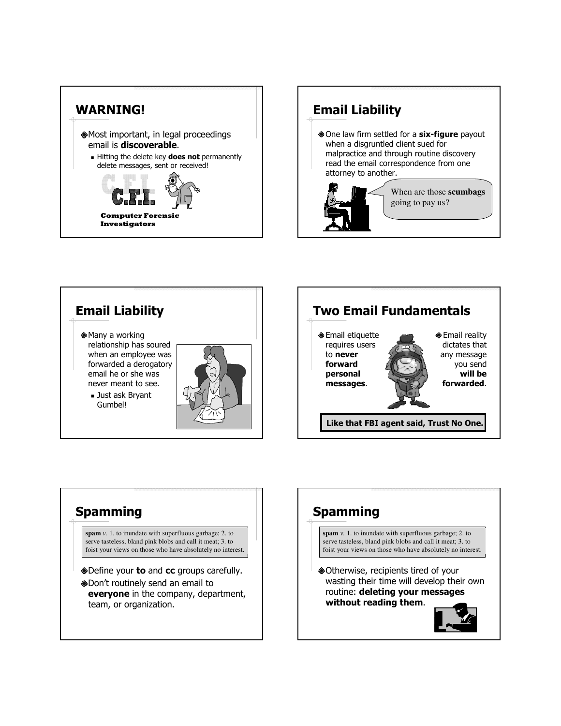





## **Spamming**

**spam** *v.* 1. to inundate with superfluous garbage; 2. to serve tasteless, bland pink blobs and call it meat; 3. to foist your views on those who have absolutely no interest.

- Define your **to** and cc groups carefully.
- Don't routinely send an email to everyone in the company, department, team, or organization.

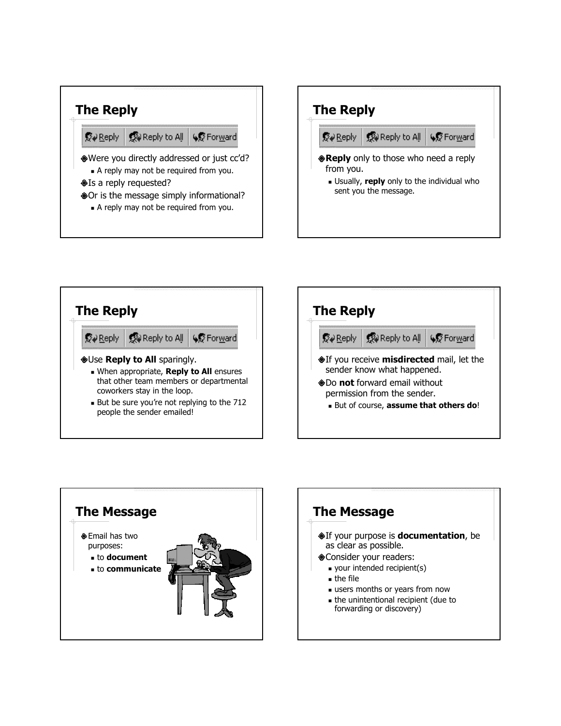







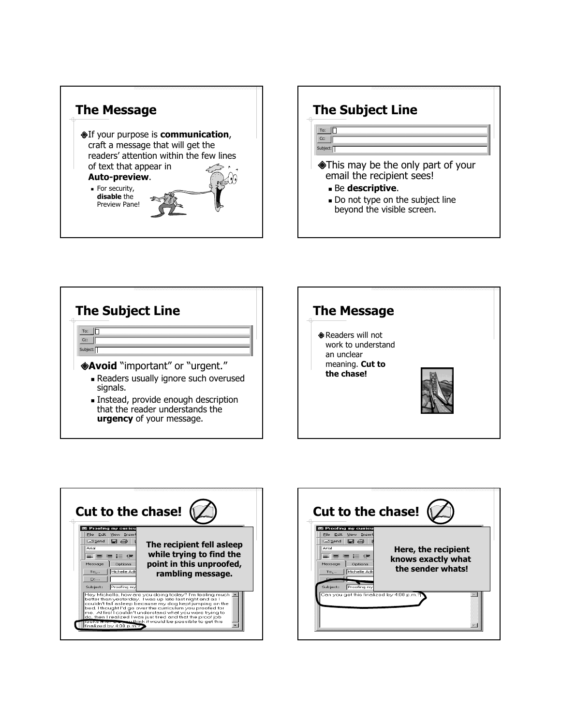









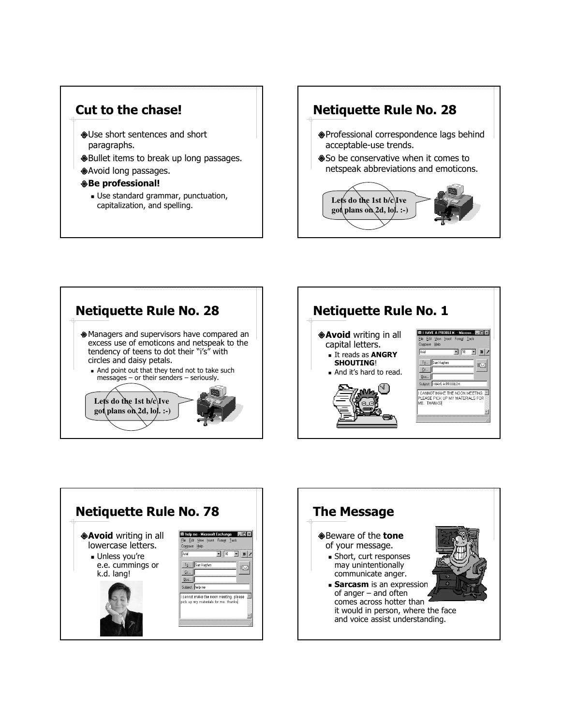

Use standard grammar, punctuation, capitalization, and spelling.